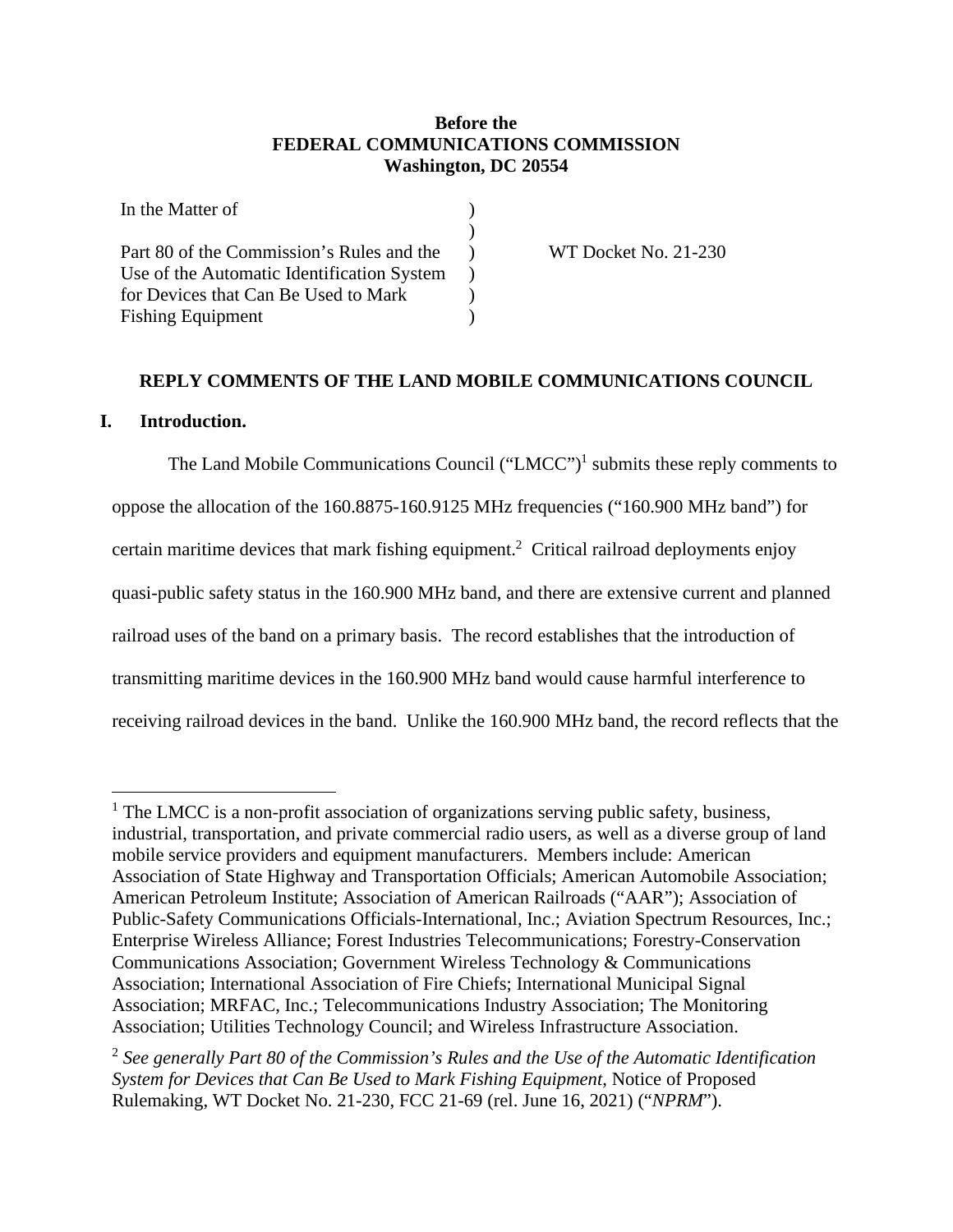## **Before the FEDERAL COMMUNICATIONS COMMISSION Washington, DC 20554**

| In the Matter of                           |  |
|--------------------------------------------|--|
|                                            |  |
| Part 80 of the Commission's Rules and the  |  |
| Use of the Automatic Identification System |  |
| for Devices that Can Be Used to Mark       |  |
| <b>Fishing Equipment</b>                   |  |

WT Docket No. 21-230

### **REPLY COMMENTS OF THE LAND MOBILE COMMUNICATIONS COUNCIL**

### **I. Introduction.**

The Land Mobile Communications Council ("LMCC")<sup>1</sup> submits these reply comments to oppose the allocation of the 160.8875-160.9125 MHz frequencies ("160.900 MHz band") for certain maritime devices that mark fishing equipment.<sup>2</sup> Critical railroad deployments enjoy quasi-public safety status in the 160.900 MHz band, and there are extensive current and planned railroad uses of the band on a primary basis. The record establishes that the introduction of transmitting maritime devices in the 160.900 MHz band would cause harmful interference to receiving railroad devices in the band. Unlike the 160.900 MHz band, the record reflects that the

<sup>&</sup>lt;sup>1</sup> The LMCC is a non-profit association of organizations serving public safety, business, industrial, transportation, and private commercial radio users, as well as a diverse group of land mobile service providers and equipment manufacturers. Members include: American Association of State Highway and Transportation Officials; American Automobile Association; American Petroleum Institute; Association of American Railroads ("AAR"); Association of Public-Safety Communications Officials-International, Inc.; Aviation Spectrum Resources, Inc.; Enterprise Wireless Alliance; Forest Industries Telecommunications; Forestry-Conservation Communications Association; Government Wireless Technology & Communications Association; International Association of Fire Chiefs; International Municipal Signal Association; MRFAC, Inc.; Telecommunications Industry Association; The Monitoring Association; Utilities Technology Council; and Wireless Infrastructure Association.

<sup>2</sup> *See generally Part 80 of the Commission's Rules and the Use of the Automatic Identification System for Devices that Can Be Used to Mark Fishing Equipment*, Notice of Proposed Rulemaking, WT Docket No. 21-230, FCC 21-69 (rel. June 16, 2021) ("*NPRM*").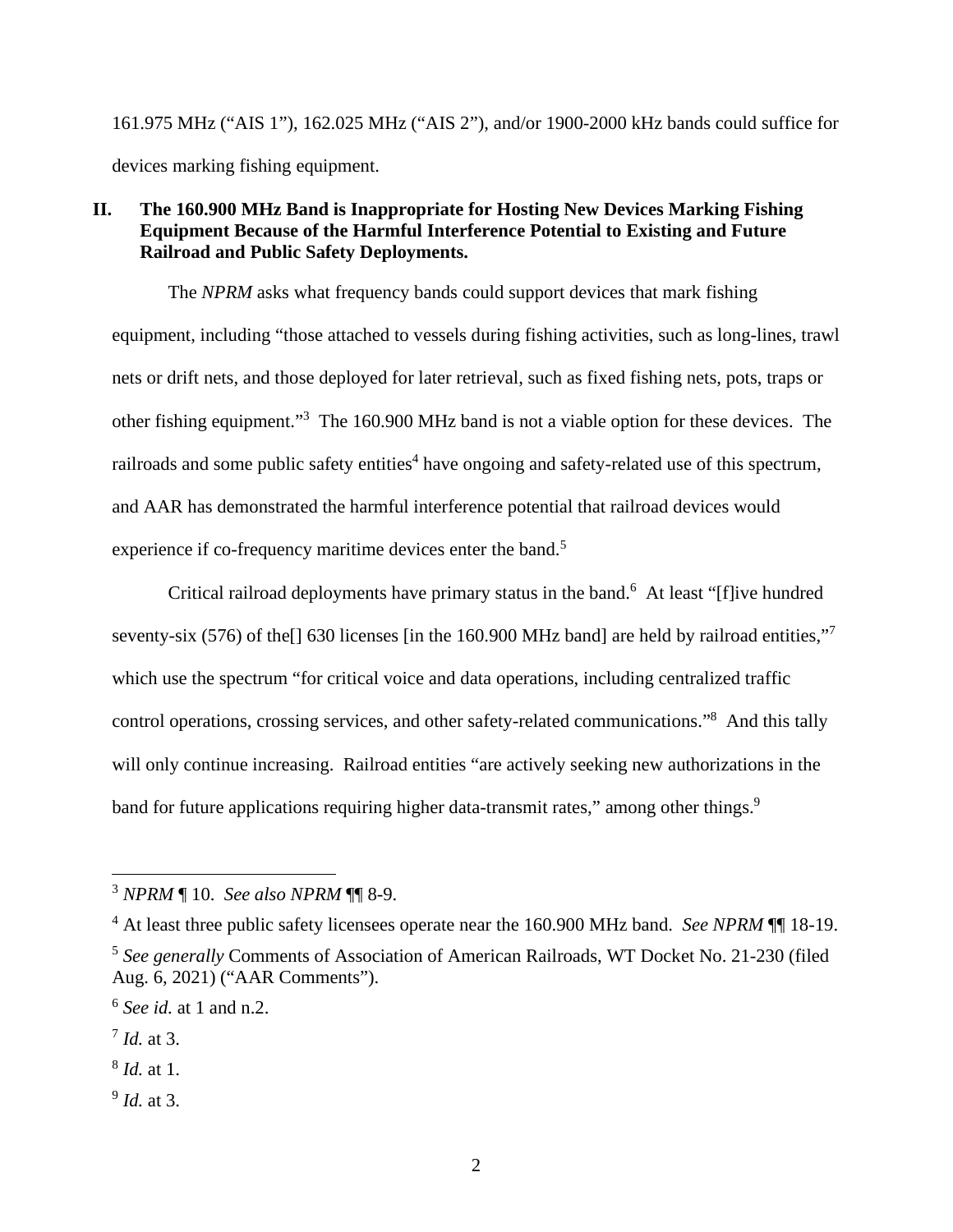161.975 MHz ("AIS 1"), 162.025 MHz ("AIS 2"), and/or 1900-2000 kHz bands could suffice for devices marking fishing equipment.

## **II. The 160.900 MHz Band is Inappropriate for Hosting New Devices Marking Fishing Equipment Because of the Harmful Interference Potential to Existing and Future Railroad and Public Safety Deployments.**

The *NPRM* asks what frequency bands could support devices that mark fishing equipment, including "those attached to vessels during fishing activities, such as long-lines, trawl nets or drift nets, and those deployed for later retrieval, such as fixed fishing nets, pots, traps or other fishing equipment."<sup>3</sup> The 160.900 MHz band is not a viable option for these devices. The railroads and some public safety entities<sup>4</sup> have ongoing and safety-related use of this spectrum, and AAR has demonstrated the harmful interference potential that railroad devices would experience if co-frequency maritime devices enter the band.<sup>5</sup>

Critical railroad deployments have primary status in the band.<sup>6</sup> At least "[f]ive hundred seventy-six (576) of the<sup>[]</sup> 630 licenses [in the 160.900 MHz band] are held by railroad entities," which use the spectrum "for critical voice and data operations, including centralized traffic control operations, crossing services, and other safety-related communications."<sup>8</sup> And this tally will only continue increasing. Railroad entities "are actively seeking new authorizations in the band for future applications requiring higher data-transmit rates," among other things.<sup>9</sup>

9 *Id.* at 3.

<sup>3</sup> *NPRM* ¶ 10. *See also NPRM* ¶¶ 8-9.

<sup>&</sup>lt;sup>4</sup> At least three public safety licensees operate near the 160.900 MHz band. *See NPRM* ¶ 18-19.

<sup>5</sup> *See generally* Comments of Association of American Railroads, WT Docket No. 21-230 (filed Aug. 6, 2021) ("AAR Comments").

<sup>6</sup> *See id.* at 1 and n.2.

<sup>7</sup> *Id.* at 3.

<sup>8</sup> *Id.* at 1.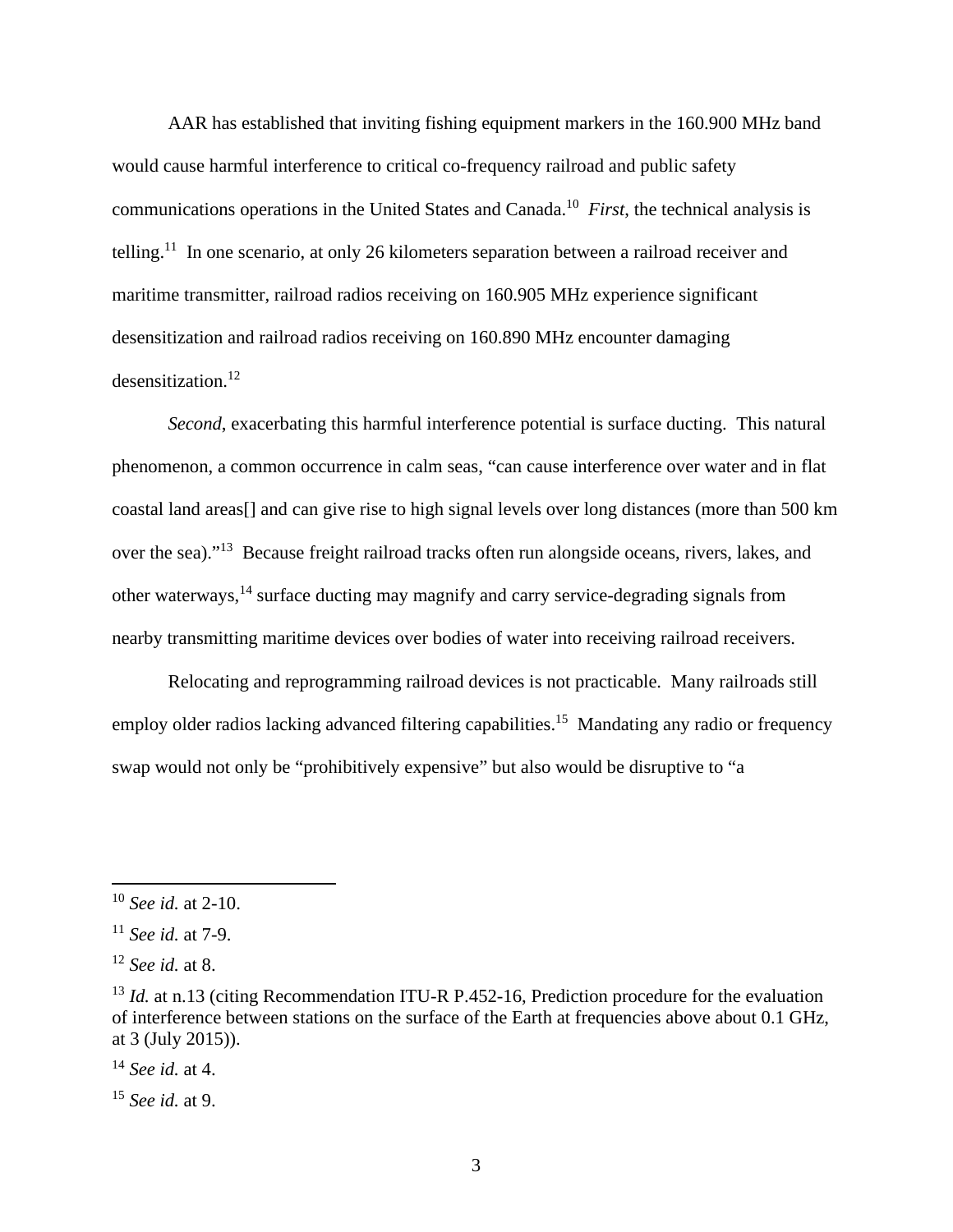AAR has established that inviting fishing equipment markers in the 160.900 MHz band would cause harmful interference to critical co-frequency railroad and public safety communications operations in the United States and Canada.<sup>10</sup> *First*, the technical analysis is telling.<sup>11</sup> In one scenario, at only 26 kilometers separation between a railroad receiver and maritime transmitter, railroad radios receiving on 160.905 MHz experience significant desensitization and railroad radios receiving on 160.890 MHz encounter damaging desensitization.<sup>12</sup>

*Second*, exacerbating this harmful interference potential is surface ducting. This natural phenomenon, a common occurrence in calm seas, "can cause interference over water and in flat coastal land areas[] and can give rise to high signal levels over long distances (more than 500 km over the sea)."<sup>13</sup> Because freight railroad tracks often run alongside oceans, rivers, lakes, and other waterways,<sup>14</sup> surface ducting may magnify and carry service-degrading signals from nearby transmitting maritime devices over bodies of water into receiving railroad receivers.

Relocating and reprogramming railroad devices is not practicable. Many railroads still employ older radios lacking advanced filtering capabilities.<sup>15</sup> Mandating any radio or frequency swap would not only be "prohibitively expensive" but also would be disruptive to "a

<sup>10</sup> *See id.* at 2-10.

<sup>11</sup> *See id.* at 7-9.

<sup>12</sup> *See id.* at 8.

<sup>&</sup>lt;sup>13</sup> *Id.* at n.13 (citing Recommendation ITU-R P.452-16, Prediction procedure for the evaluation of interference between stations on the surface of the Earth at frequencies above about 0.1 GHz, at 3 (July 2015)).

<sup>14</sup> *See id.* at 4.

<sup>15</sup> *See id.* at 9.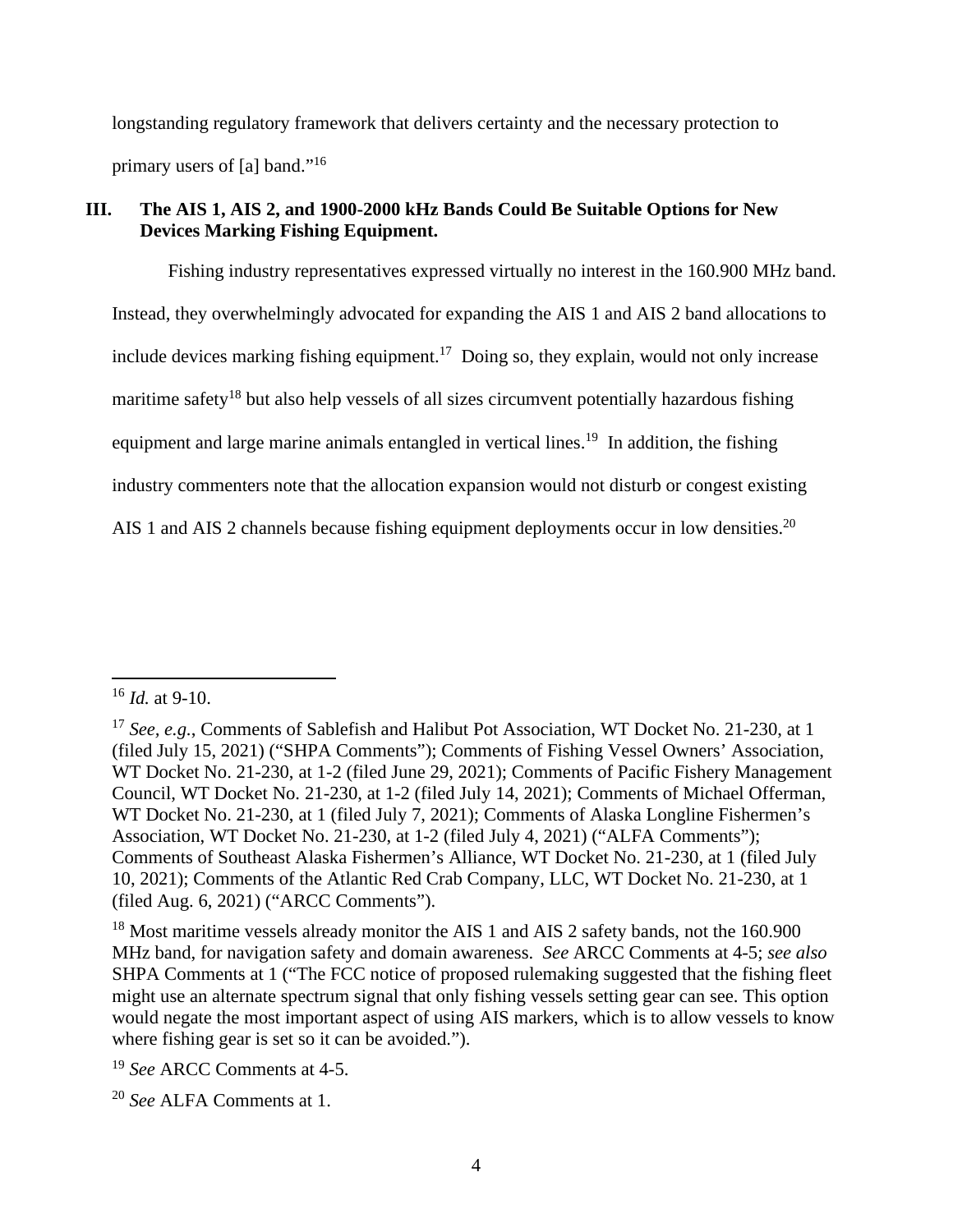longstanding regulatory framework that delivers certainty and the necessary protection to primary users of [a] band."<sup>16</sup>

# **III. The AIS 1, AIS 2, and 1900-2000 kHz Bands Could Be Suitable Options for New Devices Marking Fishing Equipment.**

Fishing industry representatives expressed virtually no interest in the 160.900 MHz band. Instead, they overwhelmingly advocated for expanding the AIS 1 and AIS 2 band allocations to include devices marking fishing equipment.<sup>17</sup> Doing so, they explain, would not only increase maritime safety<sup>18</sup> but also help vessels of all sizes circumvent potentially hazardous fishing equipment and large marine animals entangled in vertical lines.<sup>19</sup> In addition, the fishing industry commenters note that the allocation expansion would not disturb or congest existing AIS 1 and AIS 2 channels because fishing equipment deployments occur in low densities.<sup>20</sup>

<sup>18</sup> Most maritime vessels already monitor the AIS 1 and AIS 2 safety bands, not the 160.900 MHz band, for navigation safety and domain awareness. *See* ARCC Comments at 4-5; *see also* SHPA Comments at 1 ("The FCC notice of proposed rulemaking suggested that the fishing fleet might use an alternate spectrum signal that only fishing vessels setting gear can see. This option would negate the most important aspect of using AIS markers, which is to allow vessels to know where fishing gear is set so it can be avoided.").

<sup>19</sup> *See* ARCC Comments at 4-5.

<sup>16</sup> *Id.* at 9-10.

<sup>&</sup>lt;sup>17</sup> *See, e.g.*, Comments of Sablefish and Halibut Pot Association, WT Docket No. 21-230, at 1 (filed July 15, 2021) ("SHPA Comments"); Comments of Fishing Vessel Owners' Association, WT Docket No. 21-230, at 1-2 (filed June 29, 2021); Comments of Pacific Fishery Management Council, WT Docket No. 21-230, at 1-2 (filed July 14, 2021); Comments of Michael Offerman, WT Docket No. 21-230, at 1 (filed July 7, 2021); Comments of Alaska Longline Fishermen's Association, WT Docket No. 21-230, at 1-2 (filed July 4, 2021) ("ALFA Comments"); Comments of Southeast Alaska Fishermen's Alliance, WT Docket No. 21-230, at 1 (filed July 10, 2021); Comments of the Atlantic Red Crab Company, LLC, WT Docket No. 21-230, at 1 (filed Aug. 6, 2021) ("ARCC Comments").

<sup>20</sup> *See* ALFA Comments at 1.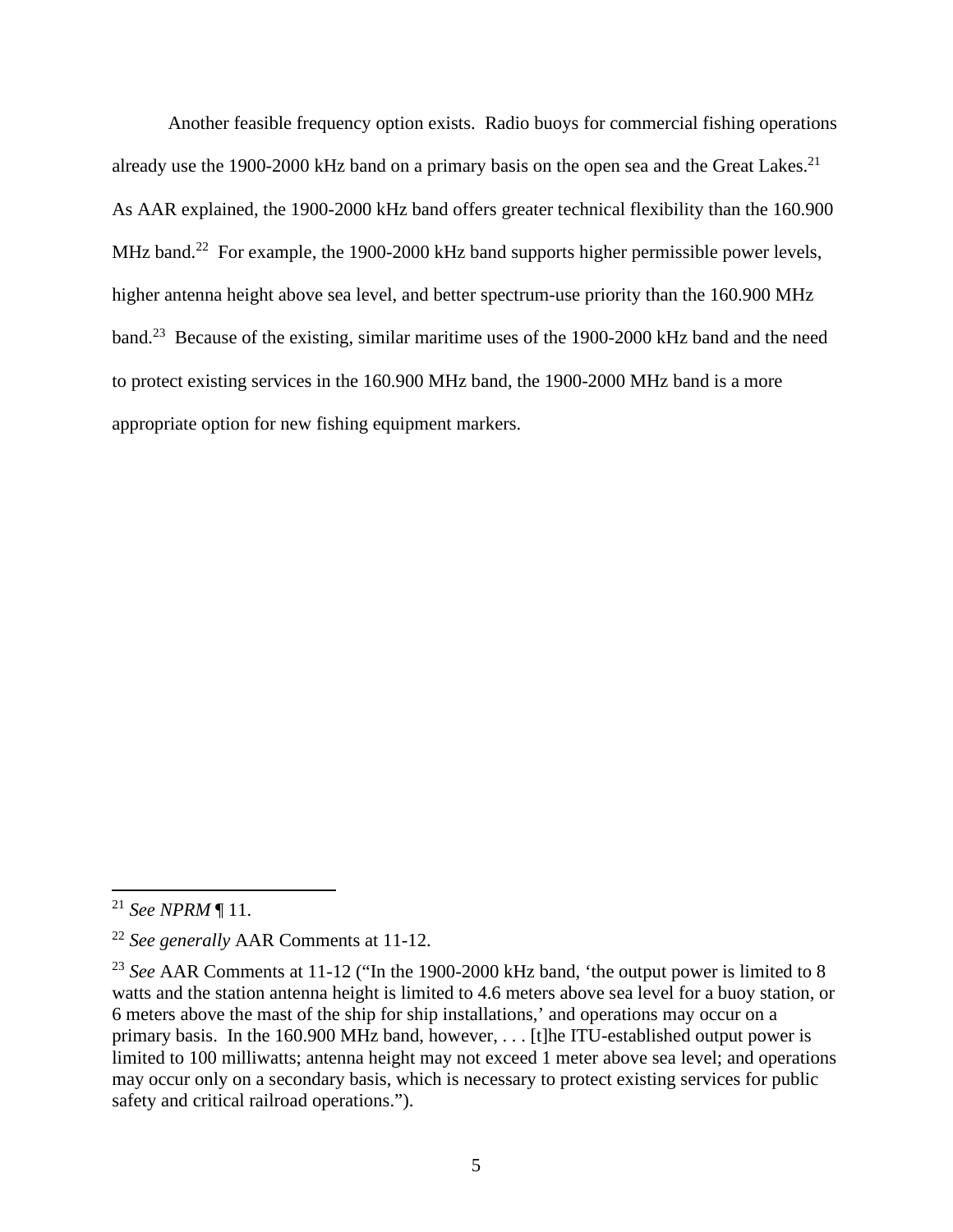Another feasible frequency option exists. Radio buoys for commercial fishing operations already use the 1900-2000 kHz band on a primary basis on the open sea and the Great Lakes.<sup>21</sup> As AAR explained, the 1900-2000 kHz band offers greater technical flexibility than the 160.900 MHz band.<sup>22</sup> For example, the 1900-2000 kHz band supports higher permissible power levels, higher antenna height above sea level, and better spectrum-use priority than the 160.900 MHz band.<sup>23</sup> Because of the existing, similar maritime uses of the 1900-2000 kHz band and the need to protect existing services in the 160.900 MHz band, the 1900-2000 MHz band is a more appropriate option for new fishing equipment markers.

<sup>21</sup> *See NPRM* ¶ 11.

<sup>22</sup> *See generally* AAR Comments at 11-12.

<sup>&</sup>lt;sup>23</sup> See AAR Comments at 11-12 ("In the 1900-2000 kHz band, 'the output power is limited to 8 watts and the station antenna height is limited to 4.6 meters above sea level for a buoy station, or 6 meters above the mast of the ship for ship installations,' and operations may occur on a primary basis. In the 160.900 MHz band, however, . . . [t]he ITU-established output power is limited to 100 milliwatts; antenna height may not exceed 1 meter above sea level; and operations may occur only on a secondary basis, which is necessary to protect existing services for public safety and critical railroad operations.").